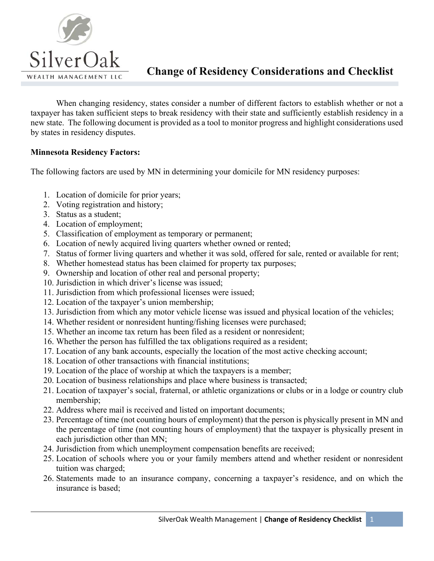

When changing residency, states consider a number of different factors to establish whether or not a taxpayer has taken sufficient steps to break residency with their state and sufficiently establish residency in a new state. The following document is provided as a tool to monitor progress and highlight considerations used by states in residency disputes.

## **Minnesota Residency Factors:**

The following factors are used by MN in determining your domicile for MN residency purposes:

- 1. Location of domicile for prior years;
- 2. Voting registration and history;
- 3. Status as a student;
- 4. Location of employment;
- 5. Classification of employment as temporary or permanent;
- 6. Location of newly acquired living quarters whether owned or rented;
- 7. Status of former living quarters and whether it was sold, offered for sale, rented or available for rent;
- 8. Whether homestead status has been claimed for property tax purposes;
- 9. Ownership and location of other real and personal property;
- 10. Jurisdiction in which driver's license was issued;
- 11. Jurisdiction from which professional licenses were issued;
- 12. Location of the taxpayer's union membership;
- 13. Jurisdiction from which any motor vehicle license was issued and physical location of the vehicles;
- 14. Whether resident or nonresident hunting/fishing licenses were purchased;
- 15. Whether an income tax return has been filed as a resident or nonresident;
- 16. Whether the person has fulfilled the tax obligations required as a resident;
- 17. Location of any bank accounts, especially the location of the most active checking account;
- 18. Location of other transactions with financial institutions;
- 19. Location of the place of worship at which the taxpayers is a member;
- 20. Location of business relationships and place where business is transacted;
- 21. Location of taxpayer's social, fraternal, or athletic organizations or clubs or in a lodge or country club membership;
- 22. Address where mail is received and listed on important documents;
- 23. Percentage of time (not counting hours of employment) that the person is physically present in MN and the percentage of time (not counting hours of employment) that the taxpayer is physically present in each jurisdiction other than MN;
- 24. Jurisdiction from which unemployment compensation benefits are received;
- 25. Location of schools where you or your family members attend and whether resident or nonresident tuition was charged;
- 26. Statements made to an insurance company, concerning a taxpayer's residence, and on which the insurance is based;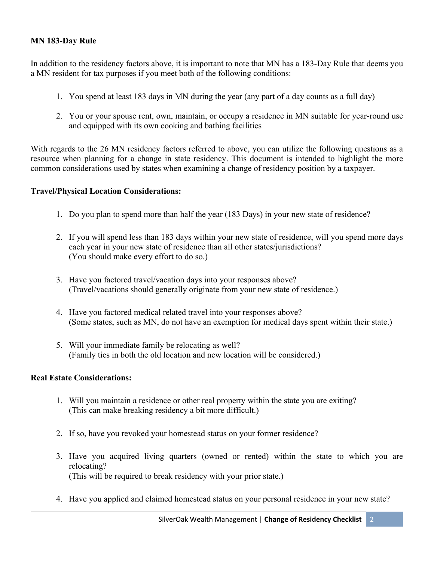## **MN 183-Day Rule**

In addition to the residency factors above, it is important to note that MN has a 183-Day Rule that deems you a MN resident for tax purposes if you meet both of the following conditions:

- 1. You spend at least 183 days in MN during the year (any part of a day counts as a full day)
- 2. You or your spouse rent, own, maintain, or occupy a residence in MN suitable for year-round use and equipped with its own cooking and bathing facilities

With regards to the 26 MN residency factors referred to above, you can utilize the following questions as a resource when planning for a change in state residency. This document is intended to highlight the more common considerations used by states when examining a change of residency position by a taxpayer.

#### **Travel/Physical Location Considerations:**

- 1. Do you plan to spend more than half the year (183 Days) in your new state of residence?
- 2. If you will spend less than 183 days within your new state of residence, will you spend more days each year in your new state of residence than all other states/jurisdictions? (You should make every effort to do so.)
- 3. Have you factored travel/vacation days into your responses above? (Travel/vacations should generally originate from your new state of residence.)
- 4. Have you factored medical related travel into your responses above? (Some states, such as MN, do not have an exemption for medical days spent within their state.)
- 5. Will your immediate family be relocating as well? (Family ties in both the old location and new location will be considered.)

#### **Real Estate Considerations:**

- 1. Will you maintain a residence or other real property within the state you are exiting? (This can make breaking residency a bit more difficult.)
- 2. If so, have you revoked your homestead status on your former residence?
- 3. Have you acquired living quarters (owned or rented) within the state to which you are relocating? (This will be required to break residency with your prior state.)
- 4. Have you applied and claimed homestead status on your personal residence in your new state?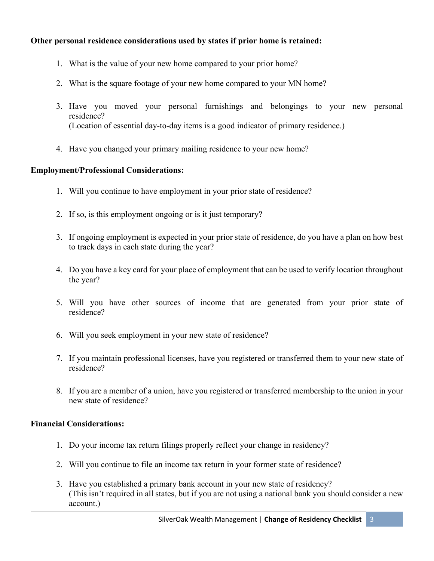# **Other personal residence considerations used by states if prior home is retained:**

- 1. What is the value of your new home compared to your prior home?
- 2. What is the square footage of your new home compared to your MN home?
- 3. Have you moved your personal furnishings and belongings to your new personal residence? (Location of essential day-to-day items is a good indicator of primary residence.)
- 4. Have you changed your primary mailing residence to your new home?

# **Employment/Professional Considerations:**

- 1. Will you continue to have employment in your prior state of residence?
- 2. If so, is this employment ongoing or is it just temporary?
- 3. If ongoing employment is expected in your prior state of residence, do you have a plan on how best to track days in each state during the year?
- 4. Do you have a key card for your place of employment that can be used to verify location throughout the year?
- 5. Will you have other sources of income that are generated from your prior state of residence?
- 6. Will you seek employment in your new state of residence?
- 7. If you maintain professional licenses, have you registered or transferred them to your new state of residence?
- 8. If you are a member of a union, have you registered or transferred membership to the union in your new state of residence?

# **Financial Considerations:**

- 1. Do your income tax return filings properly reflect your change in residency?
- 2. Will you continue to file an income tax return in your former state of residence?
- 3. Have you established a primary bank account in your new state of residency? (This isn't required in all states, but if you are not using a national bank you should consider a new account.)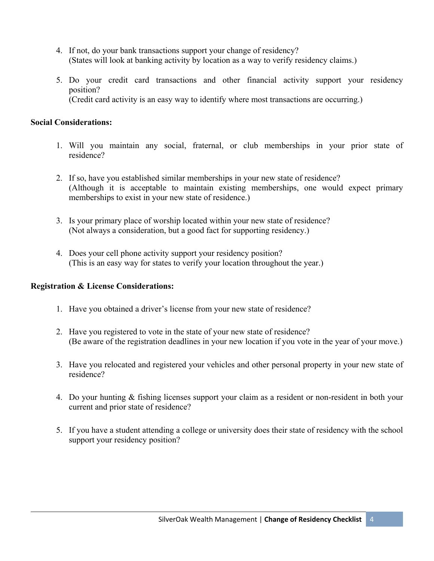- 4. If not, do your bank transactions support your change of residency? (States will look at banking activity by location as a way to verify residency claims.)
- 5. Do your credit card transactions and other financial activity support your residency position? (Credit card activity is an easy way to identify where most transactions are occurring.)

## **Social Considerations:**

- 1. Will you maintain any social, fraternal, or club memberships in your prior state of residence?
- 2. If so, have you established similar memberships in your new state of residence? (Although it is acceptable to maintain existing memberships, one would expect primary memberships to exist in your new state of residence.)
- 3. Is your primary place of worship located within your new state of residence? (Not always a consideration, but a good fact for supporting residency.)
- 4. Does your cell phone activity support your residency position? (This is an easy way for states to verify your location throughout the year.)

## **Registration & License Considerations:**

- 1. Have you obtained a driver's license from your new state of residence?
- 2. Have you registered to vote in the state of your new state of residence? (Be aware of the registration deadlines in your new location if you vote in the year of your move.)
- 3. Have you relocated and registered your vehicles and other personal property in your new state of residence?
- 4. Do your hunting & fishing licenses support your claim as a resident or non-resident in both your current and prior state of residence?
- 5. If you have a student attending a college or university does their state of residency with the school support your residency position?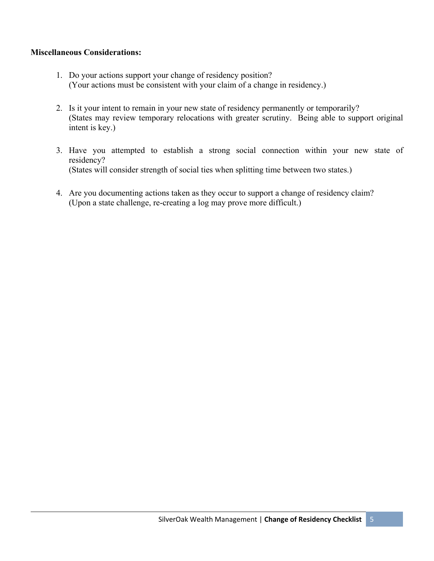## **Miscellaneous Considerations:**

- 1. Do your actions support your change of residency position? (Your actions must be consistent with your claim of a change in residency.)
- 2. Is it your intent to remain in your new state of residency permanently or temporarily? (States may review temporary relocations with greater scrutiny. Being able to support original intent is key.)
- 3. Have you attempted to establish a strong social connection within your new state of residency? (States will consider strength of social ties when splitting time between two states.)
- 4. Are you documenting actions taken as they occur to support a change of residency claim? (Upon a state challenge, re-creating a log may prove more difficult.)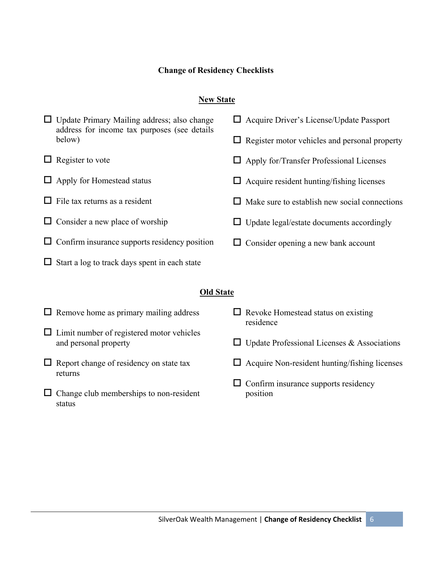# **Change of Residency Checklists**

# **New State**

|                  | $\Box$ Update Primary Mailing address; also change<br>address for income tax purposes (see details<br>below) | $\Box$ Acquire Driver's License/Update Passport |                                                         |
|------------------|--------------------------------------------------------------------------------------------------------------|-------------------------------------------------|---------------------------------------------------------|
|                  |                                                                                                              |                                                 | $\Box$ Register motor vehicles and personal property    |
|                  | $\Box$ Register to vote                                                                                      |                                                 | $\Box$ Apply for/Transfer Professional Licenses         |
| ப                | Apply for Homestead status                                                                                   |                                                 | $\Box$ Acquire resident hunting/fishing licenses        |
| ப                | File tax returns as a resident                                                                               |                                                 | Make sure to establish new social connections           |
|                  | Consider a new place of worship                                                                              |                                                 | $\Box$ Update legal/estate documents accordingly        |
|                  | Confirm insurance supports residency position                                                                |                                                 | $\Box$ Consider opening a new bank account              |
|                  | Start a log to track days spent in each state                                                                |                                                 |                                                         |
| <b>Old State</b> |                                                                                                              |                                                 |                                                         |
|                  |                                                                                                              |                                                 |                                                         |
|                  | $\Box$ Remove home as primary mailing address                                                                |                                                 | $\Box$ Revoke Homestead status on existing<br>residence |
|                  | $\Box$ Limit number of registered motor vehicles<br>and personal property                                    |                                                 | $\Box$ Update Professional Licenses & Associations      |
|                  | $\Box$ Report change of residency on state tax<br>returns                                                    |                                                 | $\Box$ Acquire Non-resident hunting/fishing licenses    |
|                  | Change club memberships to non-resident<br>status                                                            |                                                 | $\Box$ Confirm insurance supports residency<br>position |